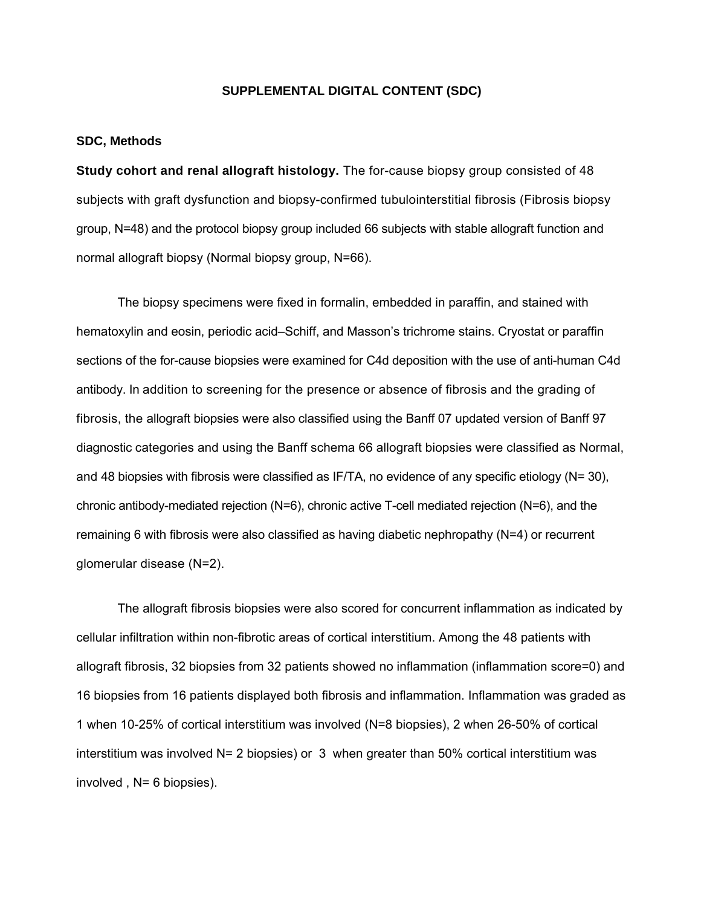## **SUPPLEMENTAL DIGITAL CONTENT (SDC)**

## **SDC, Methods**

**Study cohort and renal allograft histology.** The for-cause biopsy group consisted of 48 subjects with graft dysfunction and biopsy-confirmed tubulointerstitial fibrosis (Fibrosis biopsy group, N=48) and the protocol biopsy group included 66 subjects with stable allograft function and normal allograft biopsy (Normal biopsy group, N=66).

 The biopsy specimens were fixed in formalin, embedded in paraffin, and stained with hematoxylin and eosin, periodic acid–Schiff, and Masson's trichrome stains. Cryostat or paraffin sections of the for-cause biopsies were examined for C4d deposition with the use of anti-human C4d antibody. In addition to screening for the presence or absence of fibrosis and the grading of fibrosis, the allograft biopsies were also classified using the Banff 07 updated version of Banff 97 diagnostic categories and using the Banff schema 66 allograft biopsies were classified as Normal, and 48 biopsies with fibrosis were classified as IF/TA, no evidence of any specific etiology (N= 30), chronic antibody-mediated rejection (N=6), chronic active T-cell mediated rejection (N=6), and the remaining 6 with fibrosis were also classified as having diabetic nephropathy (N=4) or recurrent glomerular disease (N=2).

 The allograft fibrosis biopsies were also scored for concurrent inflammation as indicated by cellular infiltration within non-fibrotic areas of cortical interstitium. Among the 48 patients with allograft fibrosis, 32 biopsies from 32 patients showed no inflammation (inflammation score=0) and 16 biopsies from 16 patients displayed both fibrosis and inflammation. Inflammation was graded as 1 when 10-25% of cortical interstitium was involved (N=8 biopsies), 2 when 26-50% of cortical interstitium was involved  $N = 2$  biopsies) or 3 when greater than 50% cortical interstitium was involved , N= 6 biopsies).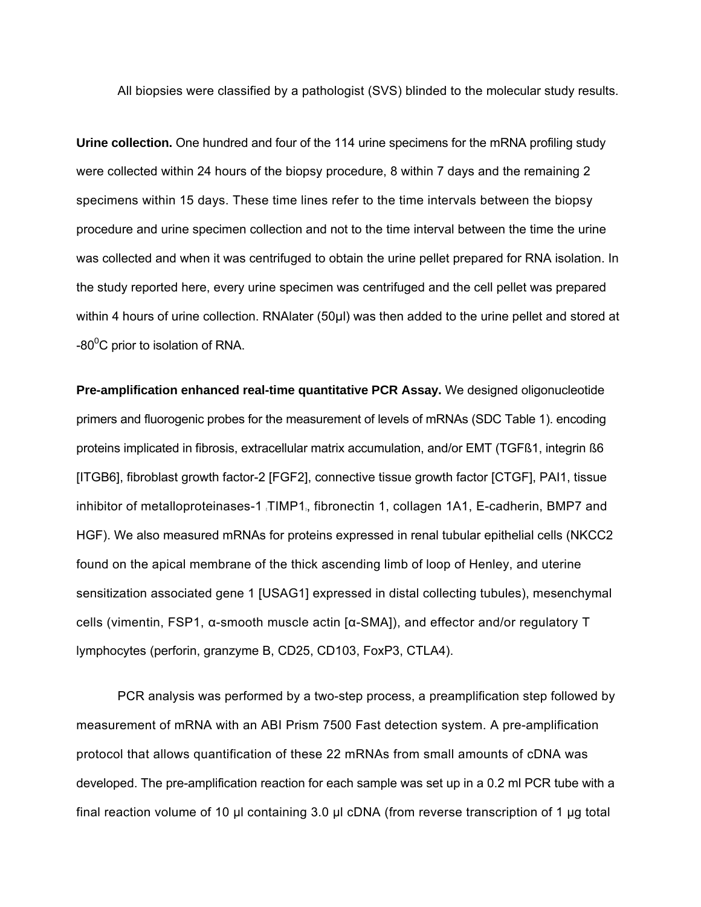All biopsies were classified by a pathologist (SVS) blinded to the molecular study results.

**Urine collection.** One hundred and four of the 114 urine specimens for the mRNA profiling study were collected within 24 hours of the biopsy procedure, 8 within 7 days and the remaining 2 specimens within 15 days. These time lines refer to the time intervals between the biopsy procedure and urine specimen collection and not to the time interval between the time the urine was collected and when it was centrifuged to obtain the urine pellet prepared for RNA isolation. In the study reported here, every urine specimen was centrifuged and the cell pellet was prepared within 4 hours of urine collection. RNAlater (50µl) was then added to the urine pellet and stored at -80<sup>o</sup>C prior to isolation of RNA.

**Pre-amplification enhanced real-time quantitative PCR Assay.** We designed oligonucleotide primers and fluorogenic probes for the measurement of levels of mRNAs (SDC Table 1). encoding proteins implicated in fibrosis, extracellular matrix accumulation, and/or EMT (TGFß1, integrin ß6 [ITGB6], fibroblast growth factor-2 [FGF2], connective tissue growth factor [CTGF], PAI1, tissue inhibitor of metalloproteinases-1 [TIMP1], fibronectin 1, collagen 1A1, E-cadherin, BMP7 and HGF). We also measured mRNAs for proteins expressed in renal tubular epithelial cells (NKCC2 found on the apical membrane of the thick ascending limb of loop of Henley, and uterine sensitization associated gene 1 [USAG1] expressed in distal collecting tubules), mesenchymal cells (vimentin, FSP1, α-smooth muscle actin [α-SMA]), and effector and/or regulatory T lymphocytes (perforin, granzyme B, CD25, CD103, FoxP3, CTLA4).

 PCR analysis was performed by a two-step process, a preamplification step followed by measurement of mRNA with an ABI Prism 7500 Fast detection system. A pre-amplification protocol that allows quantification of these 22 mRNAs from small amounts of cDNA was developed. The pre-amplification reaction for each sample was set up in a 0.2 ml PCR tube with a final reaction volume of 10 µl containing 3.0 µl cDNA (from reverse transcription of 1 µg total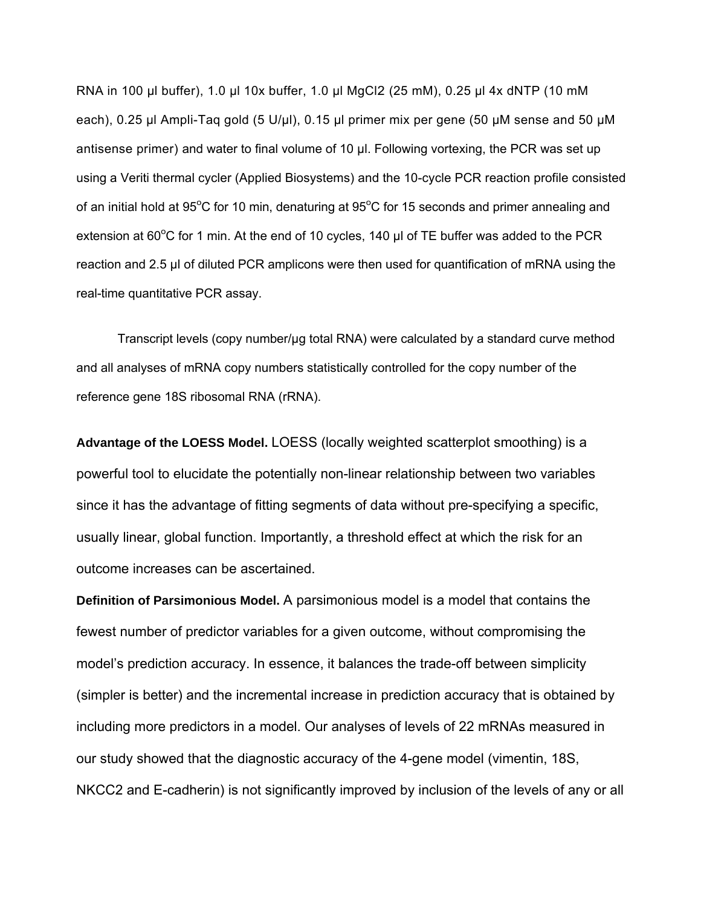RNA in 100 µl buffer), 1.0 µl 10x buffer, 1.0 µl MgCl2 (25 mM), 0.25 µl 4x dNTP (10 mM each), 0.25 µl Ampli-Taq gold (5 U/µl), 0.15 µl primer mix per gene (50 µM sense and 50 µM antisense primer) and water to final volume of 10 µl. Following vortexing, the PCR was set up using a Veriti thermal cycler (Applied Biosystems) and the 10-cycle PCR reaction profile consisted of an initial hold at 95°C for 10 min, denaturing at 95°C for 15 seconds and primer annealing and extension at 60 $^{\circ}$ C for 1 min. At the end of 10 cycles, 140  $\mu$ l of TE buffer was added to the PCR reaction and 2.5 µl of diluted PCR amplicons were then used for quantification of mRNA using the real-time quantitative PCR assay.

 Transcript levels (copy number/µg total RNA) were calculated by a standard curve method and all analyses of mRNA copy numbers statistically controlled for the copy number of the reference gene 18S ribosomal RNA (rRNA).

**Advantage of the LOESS Model.** LOESS (locally weighted scatterplot smoothing) is a powerful tool to elucidate the potentially non-linear relationship between two variables since it has the advantage of fitting segments of data without pre-specifying a specific, usually linear, global function. Importantly, a threshold effect at which the risk for an outcome increases can be ascertained.

**Definition of Parsimonious Model.** A parsimonious model is a model that contains the fewest number of predictor variables for a given outcome, without compromising the model's prediction accuracy. In essence, it balances the trade-off between simplicity (simpler is better) and the incremental increase in prediction accuracy that is obtained by including more predictors in a model. Our analyses of levels of 22 mRNAs measured in our study showed that the diagnostic accuracy of the 4-gene model (vimentin, 18S, NKCC2 and E-cadherin) is not significantly improved by inclusion of the levels of any or all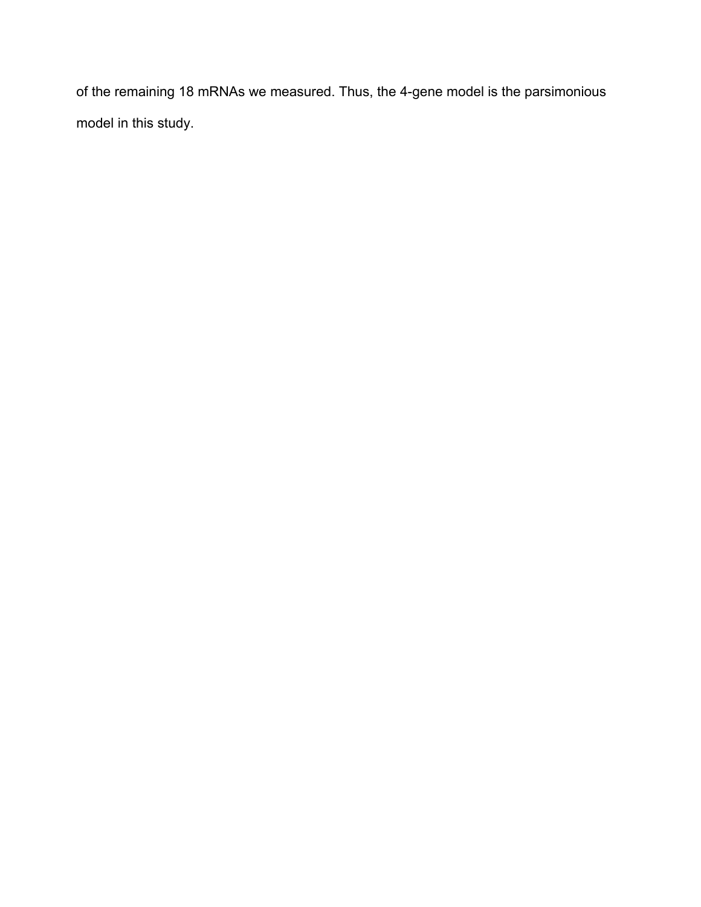of the remaining 18 mRNAs we measured. Thus, the 4-gene model is the parsimonious model in this study.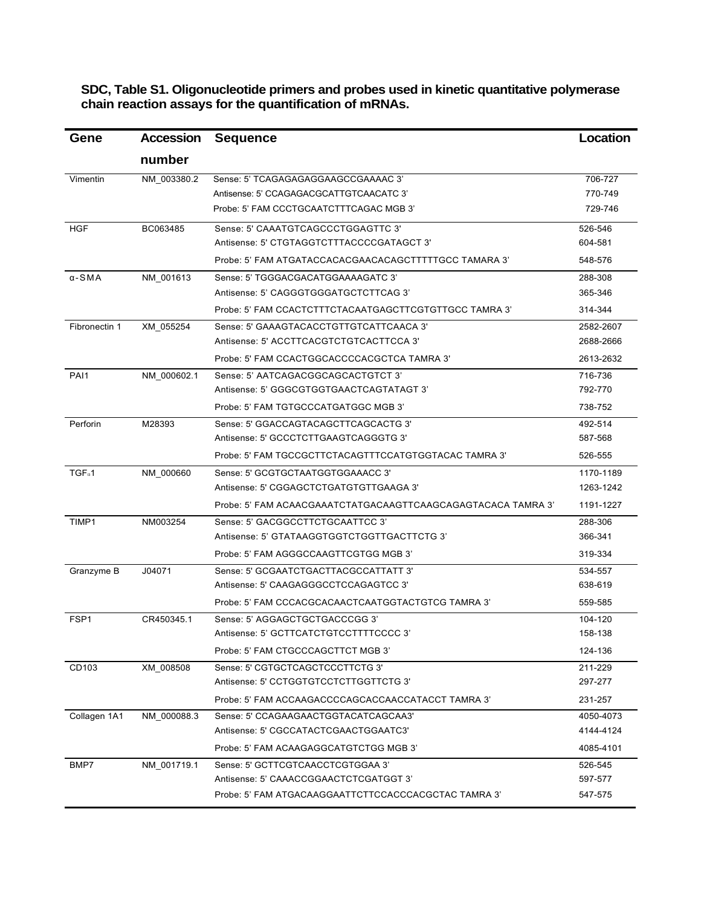**SDC, Table S1. Oligonucleotide primers and probes used in kinetic quantitative polymerase chain reaction assays for the quantification of mRNAs.** 

| Gene               | <b>Accession</b> | <b>Sequence</b>                                              | Location  |
|--------------------|------------------|--------------------------------------------------------------|-----------|
|                    | number           |                                                              |           |
| Vimentin           | NM 003380.2      | Sense: 5' TCAGAGAGAGGAAGCCGAAAAC 3'                          | 706-727   |
|                    |                  | Antisense: 5' CCAGAGACGCATTGTCAACATC 3'                      | 770-749   |
|                    |                  | Probe: 5' FAM CCCTGCAATCTTTCAGAC MGB 3'                      | 729-746   |
| HGF                | BC063485         | Sense: 5' CAAATGTCAGCCCTGGAGTTC 3'                           | 526-546   |
|                    |                  | Antisense: 5' CTGTAGGTCTTTACCCCGATAGCT 3'                    | 604-581   |
|                    |                  | Probe: 5' FAM ATGATACCACACGAACACAGCTTTTTGCC TAMARA 3'        | 548-576   |
| $\alpha$ -SMA      | NM_001613        | Sense: 5' TGGGACGACATGGAAAAGATC 3'                           | 288-308   |
|                    |                  | Antisense: 5' CAGGGTGGGATGCTCTTCAG 3'                        | 365-346   |
|                    |                  | Probe: 5' FAM CCACTCTTTCTACAATGAGCTTCGTGTTGCC TAMRA 3'       | 314-344   |
| Fibronectin 1      | XM_055254        | Sense: 5' GAAAGTACACCTGTTGTCATTCAACA 3'                      | 2582-2607 |
|                    |                  | Antisense: 5' ACCTTCACGTCTGTCACTTCCA 3'                      | 2688-2666 |
|                    |                  | Probe: 5' FAM CCACTGGCACCCCACGCTCA TAMRA 3'                  | 2613-2632 |
| PAI1               | NM 000602.1      | Sense: 5' AATCAGACGGCAGCACTGTCT 3'                           | 716-736   |
|                    |                  | Antisense: 5' GGGCGTGGTGAACTCAGTATAGT 3'                     | 792-770   |
|                    |                  | Probe: 5' FAM TGTGCCCATGATGGC MGB 3'                         | 738-752   |
| Perforin           | M28393           | Sense: 5' GGACCAGTACAGCTTCAGCACTG 3'                         | 492-514   |
|                    |                  | Antisense: 5' GCCCTCTTGAAGTCAGGGTG 3'                        | 587-568   |
|                    |                  | Probe: 5' FAM TGCCGCTTCTACAGTTTCCATGTGGTACAC TAMRA 3'        | 526-555   |
| TGF <sub>B</sub> 1 | NM 000660        | Sense: 5' GCGTGCTAATGGTGGAAACC 3'                            | 1170-1189 |
|                    |                  | Antisense: 5' CGGAGCTCTGATGTGTTGAAGA 3'                      | 1263-1242 |
|                    |                  | Probe: 5' FAM ACAACGAAATCTATGACAAGTTCAAGCAGAGTACACA TAMRA 3' | 1191-1227 |
| TIMP1              | NM003254         | Sense: 5' GACGGCCTTCTGCAATTCC 3'                             | 288-306   |
|                    |                  | Antisense: 5' GTATAAGGTGGTCTGGTTGACTTCTG 3'                  | 366-341   |
|                    |                  | Probe: 5' FAM AGGGCCAAGTTCGTGG MGB 3'                        | 319-334   |
| Granzyme B         | J04071           | Sense: 5' GCGAATCTGACTTACGCCATTATT 3'                        | 534-557   |
|                    |                  | Antisense: 5' CAAGAGGGCCTCCAGAGTCC 3'                        | 638-619   |
|                    |                  | Probe: 5' FAM CCCACGCACAACTCAATGGTACTGTCG TAMRA 3'           | 559-585   |
| FSP <sub>1</sub>   | CR450345.1       | Sense: 5' AGGAGCTGCTGACCCGG 3'                               | 104-120   |
|                    |                  | Antisense: 5' GCTTCATCTGTCCTTTTCCCC 3'                       | 158-138   |
|                    |                  | Probe: 5' FAM CTGCCCAGCTTCT MGB 3'                           | 124-136   |
| CD103              | XM 008508        | Sense: 5' CGTGCTCAGCTCCCTTCTG 3'                             | 211-229   |
|                    |                  | Antisense: 5' CCTGGTGTCCTCTTGGTTCTG 3'                       | 297-277   |
|                    |                  | Probe: 5' FAM ACCAAGACCCCAGCACCAACCATACCT TAMRA 3'           | 231-257   |
| Collagen 1A1       | NM 000088.3      | Sense: 5' CCAGAAGAACTGGTACATCAGCAA3'                         | 4050-4073 |
|                    |                  | Antisense: 5' CGCCATACTCGAACTGGAATC3'                        | 4144-4124 |
|                    |                  | Probe: 5' FAM ACAAGAGGCATGTCTGG MGB 3'                       | 4085-4101 |
| BMP7               | NM 001719.1      | Sense: 5' GCTTCGTCAACCTCGTGGAA 3'                            | 526-545   |
|                    |                  | Antisense: 5' CAAACCGGAACTCTCGATGGT 3'                       | 597-577   |
|                    |                  | Probe: 5' FAM ATGACAAGGAATTCTTCCACCCACGCTAC TAMRA 3'         | 547-575   |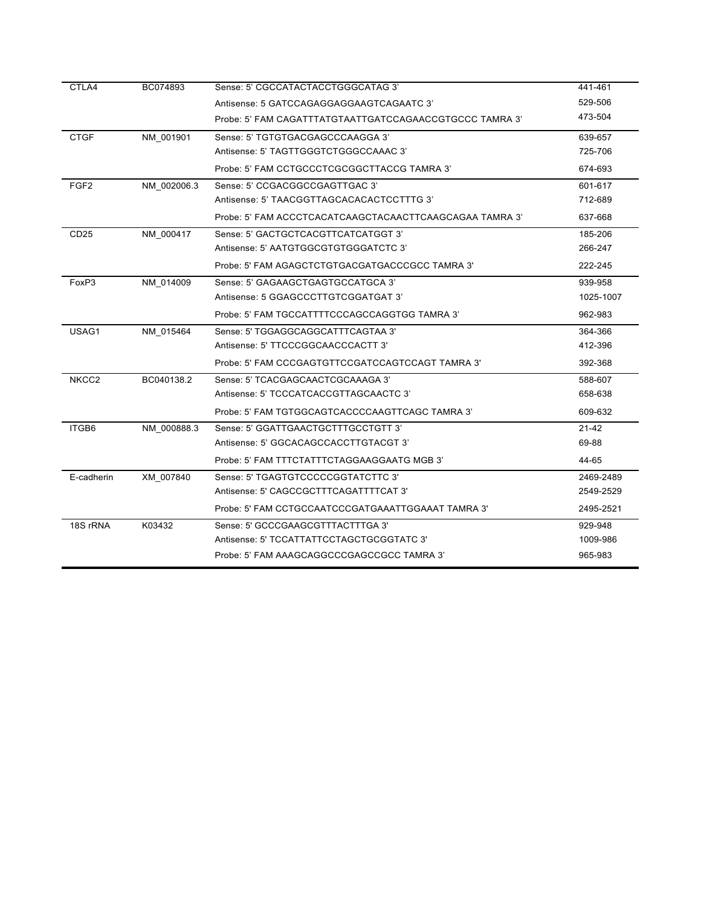| CTLA4             | BC074893    | Sense: 5' CGCCATACTACCTGGGCATAG 3'                      | 441-461   |
|-------------------|-------------|---------------------------------------------------------|-----------|
|                   |             | Antisense: 5 GATCCAGAGGAGGAAGTCAGAATC 3'                | 529-506   |
|                   |             | Probe: 5' FAM CAGATTTATGTAATTGATCCAGAACCGTGCCC TAMRA 3' | 473-504   |
| <b>CTGF</b>       | NM 001901   | Sense: 5' TGTGTGACGAGCCCAAGGA 3'                        | 639-657   |
|                   |             | Antisense: 5' TAGTTGGGTCTGGGCCAAAC 3'                   | 725-706   |
|                   |             | Probe: 5' FAM CCTGCCCTCGCGGCTTACCG TAMRA 3'             | 674-693   |
| FGF <sub>2</sub>  | NM 002006.3 | Sense: 5' CCGACGGCCGAGTTGAC 3'                          | 601-617   |
|                   |             | Antisense: 5' TAACGGTTAGCACACACTCCTTTG 3'               | 712-689   |
|                   |             | Probe: 5' FAM ACCCTCACATCAAGCTACAACTTCAAGCAGAA TAMRA 3' | 637-668   |
| CD25              | NM 000417   | Sense: 5' GACTGCTCACGTTCATCATGGT 3'                     | 185-206   |
|                   |             | Antisense: 5' AATGTGGCGTGTGGGATCTC 3'                   | 266-247   |
|                   |             | Probe: 5' FAM AGAGCTCTGTGACGATGACCCGCC TAMRA 3'         | 222-245   |
| FoxP3             | NM 014009   | Sense: 5' GAGAAGCTGAGTGCCATGCA 3'                       | 939-958   |
|                   |             | Antisense: 5 GGAGCCCTTGTCGGATGAT 3'                     | 1025-1007 |
|                   |             | Probe: 5' FAM TGCCATTTTCCCAGCCAGGTGG TAMRA 3'           | 962-983   |
| USAG1             | NM_015464   | Sense: 5' TGGAGGCAGGCATTTCAGTAA 3'                      | 364-366   |
|                   |             | Antisense: 5' TTCCCGGCAACCCACTT 3'                      | 412-396   |
|                   |             | Probe: 5' FAM CCCGAGTGTTCCGATCCAGTCCAGT TAMRA 3'        | 392-368   |
| NKCC <sub>2</sub> | BC040138.2  | Sense: 5' TCACGAGCAACTCGCAAAGA 3'                       | 588-607   |
|                   |             | Antisense: 5' TCCCATCACCGTTAGCAACTC 3'                  | 658-638   |
|                   |             | Probe: 5' FAM TGTGGCAGTCACCCCAAGTTCAGC TAMRA 3'         | 609-632   |
| ITGB6             | NM 000888.3 | Sense: 5' GGATTGAACTGCTTTGCCTGTT 3'                     | $21 - 42$ |
|                   |             | Antisense: 5' GGCACAGCCACCTTGTACGT 3'                   | 69-88     |
|                   |             | Probe: 5' FAM TTTCTATTTCTAGGAAGGAATG MGB 3'             | 44-65     |
| E-cadherin        | XM_007840   | Sense: 5' TGAGTGTCCCCCGGTATCTTC 3'                      | 2469-2489 |
|                   |             | Antisense: 5' CAGCCGCTTTCAGATTTTCAT 3'                  | 2549-2529 |
|                   |             | Probe: 5' FAM CCTGCCAATCCCGATGAAATTGGAAAT TAMRA 3'      | 2495-2521 |
| 18S rRNA          | K03432      | Sense: 5' GCCCGAAGCGTTTACTTTGA 3'                       | 929-948   |
|                   |             | Antisense: 5' TCCATTATTCCTAGCTGCGGTATC 3'               | 1009-986  |
|                   |             | Probe: 5' FAM AAAGCAGGCCCGAGCCGCC TAMRA 3'              | 965-983   |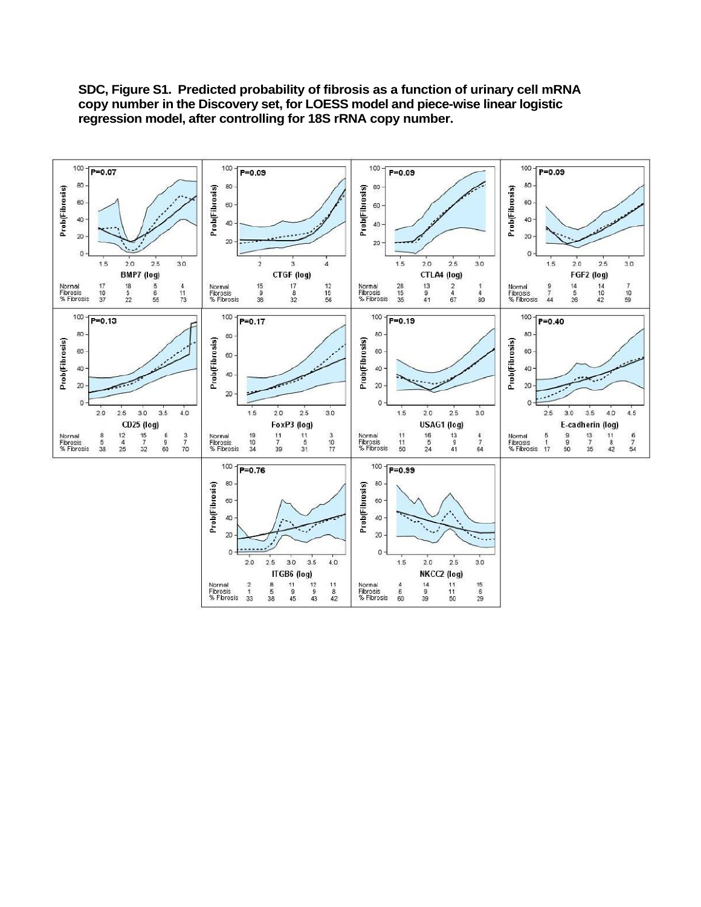

**SDC, Figure S1. Predicted probability of fibrosis as a function of urinary cell mRNA copy number in the Discovery set, for LOESS model and piece-wise linear logistic regression model, after controlling for 18S rRNA copy number.**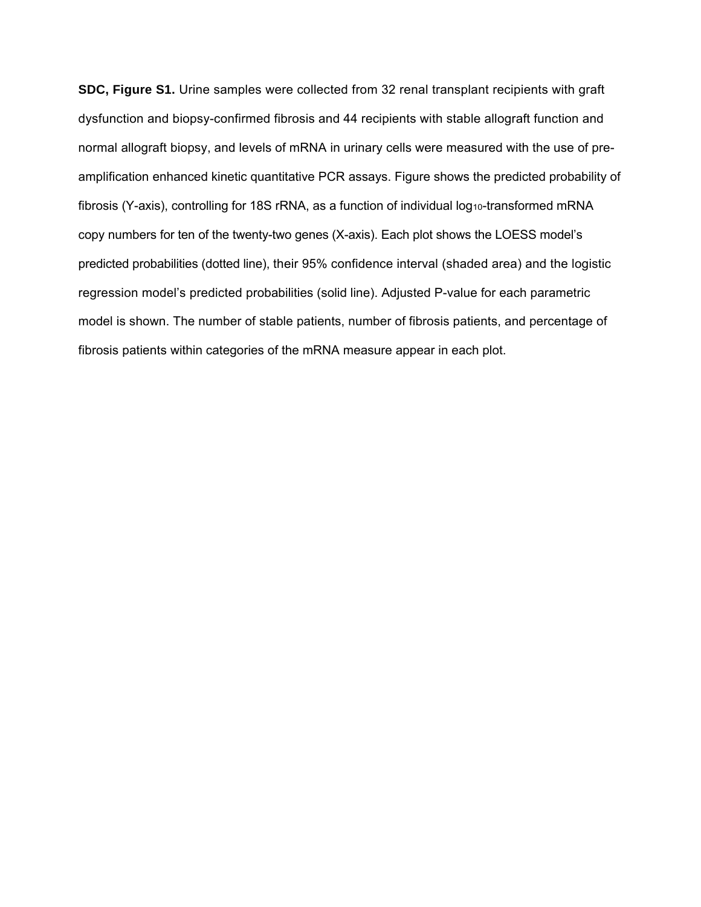**SDC, Figure S1.** Urine samples were collected from 32 renal transplant recipients with graft dysfunction and biopsy-confirmed fibrosis and 44 recipients with stable allograft function and normal allograft biopsy, and levels of mRNA in urinary cells were measured with the use of preamplification enhanced kinetic quantitative PCR assays. Figure shows the predicted probability of fibrosis (Y-axis), controlling for 18S rRNA, as a function of individual log<sub>10</sub>-transformed mRNA copy numbers for ten of the twenty-two genes (X-axis). Each plot shows the LOESS model's predicted probabilities (dotted line), their 95% confidence interval (shaded area) and the logistic regression model's predicted probabilities (solid line). Adjusted P-value for each parametric model is shown. The number of stable patients, number of fibrosis patients, and percentage of fibrosis patients within categories of the mRNA measure appear in each plot.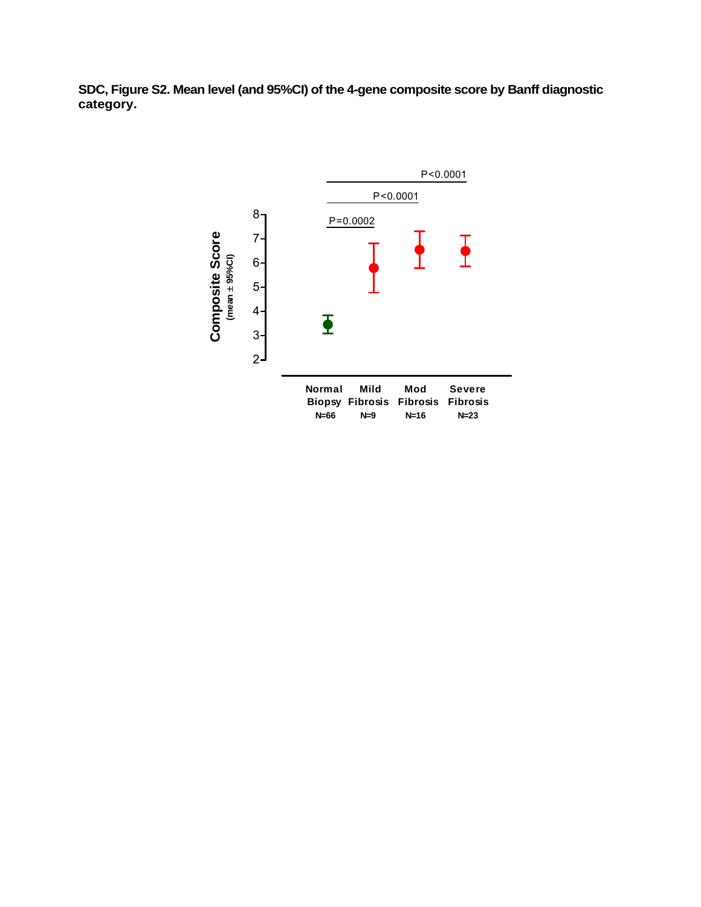**SDC, Figure S2. Mean level (and 95%CI) of the 4-gene composite score by Banff diagnostic category.**